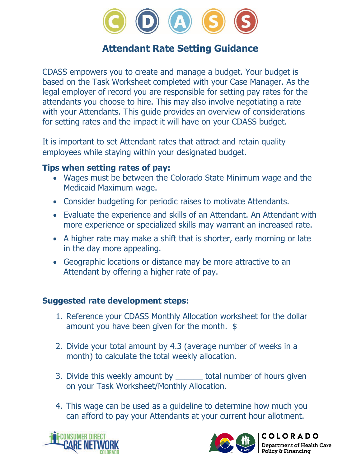

# **Attendant Rate Setting Guidance**

CDASS empowers you to create and manage a budget. Your budget is based on the Task Worksheet completed with your Case Manager. As the legal employer of record you are responsible for setting pay rates for the attendants you choose to hire. This may also involve negotiating a rate with your Attendants. This guide provides an overview of considerations for setting rates and the impact it will have on your CDASS budget.

It is important to set Attendant rates that attract and retain quality employees while staying within your designated budget.

#### **Tips when setting rates of pay:**

- Wages must be between the Colorado State Minimum wage and the Medicaid Maximum wage.
- Consider budgeting for periodic raises to motivate Attendants.
- Evaluate the experience and skills of an Attendant. An Attendant with more experience or specialized skills may warrant an increased rate.
- A higher rate may make a shift that is shorter, early morning or late in the day more appealing.
- Geographic locations or distance may be more attractive to an Attendant by offering a higher rate of pay.

#### **Suggested rate development steps:**

- 1. Reference your CDASS Monthly Allocation worksheet for the dollar amount you have been given for the month.  $$$
- 2. Divide your total amount by 4.3 (average number of weeks in a month) to calculate the total weekly allocation.
- 3. Divide this weekly amount by \_\_\_\_\_\_\_ total number of hours given on your Task Worksheet/Monthly Allocation.
- 4. This wage can be used as a guideline to determine how much you can afford to pay your Attendants at your current hour allotment.





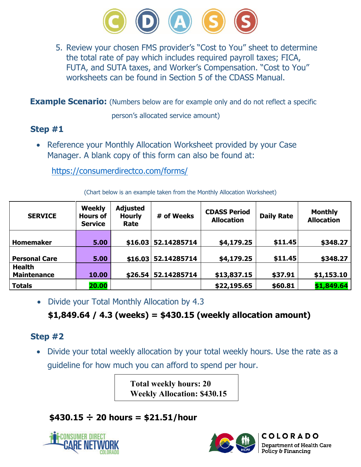

5. Review your chosen FMS provider's "Cost to You" sheet to determine the total rate of pay which includes required payroll taxes; FICA, FUTA, and SUTA taxes, and Worker's Compensation. "Cost to You" worksheets can be found in Section 5 of the CDASS Manual.

**Example Scenario:** (Numbers below are for example only and do not reflect a specific

person's allocated service amount)

### **Step #1**

• Reference your Monthly Allocation Worksheet provided by your Case Manager. A blank copy of this form can also be found at:

<https://consumerdirectco.com/forms/>

| <b>SERVICE</b>       | <b>Weekly</b><br><b>Hours of</b><br><b>Service</b> | <b>Adjusted</b><br><b>Hourly</b><br>Rate | # of Weeks          | <b>CDASS Period</b><br><b>Allocation</b> | <b>Daily Rate</b> | <b>Monthly</b><br><b>Allocation</b> |
|----------------------|----------------------------------------------------|------------------------------------------|---------------------|------------------------------------------|-------------------|-------------------------------------|
|                      |                                                    |                                          |                     |                                          |                   |                                     |
| <b>Homemaker</b>     | 5.00                                               | \$16.03                                  | 52.14285714         | \$4,179.25                               | \$11.45           | \$348.27                            |
|                      |                                                    |                                          |                     |                                          |                   |                                     |
| <b>Personal Care</b> | 5.00                                               |                                          | \$16.03 52.14285714 | \$4,179.25                               | \$11.45           | \$348.27                            |
| <b>Health</b>        |                                                    |                                          |                     |                                          |                   |                                     |
| <b>Maintenance</b>   | 10.00                                              | \$26.54                                  | 52.14285714         | \$13,837.15                              | \$37.91           | \$1,153.10                          |
| <b>Totals</b>        | 20.00                                              |                                          |                     | \$22,195.65                              | \$60.81           | \$1,849.64                          |

(Chart below is an example taken from the Monthly Allocation Worksheet)

• Divide your Total Monthly Allocation by 4.3

# **\$1,849.64 / 4.3 (weeks) = \$430.15 (weekly allocation amount)**

#### **Step #2**

• Divide your total weekly allocation by your total weekly hours. Use the rate as a guideline for how much you can afford to spend per hour.

> **Total weekly hours: 20 Weekly Allocation: \$430.15**

# **\$430.15 ÷ 20 hours = \$21.51/hour**





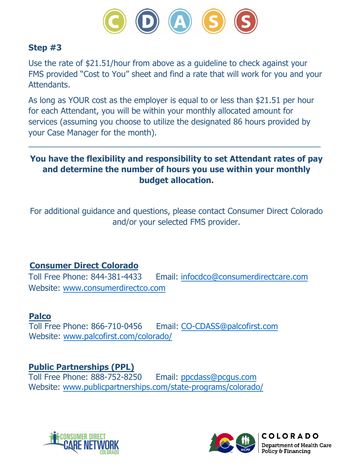

#### **Step #3**

Use the rate of \$21.51/hour from above as a guideline to check against your FMS provided "Cost to You" sheet and find a rate that will work for you and your Attendants.

As long as YOUR cost as the employer is equal to or less than \$21.51 per hour for each Attendant, you will be within your monthly allocated amount for services (assuming you choose to utilize the designated 86 hours provided by your Case Manager for the month).

### **You have the flexibility and responsibility to set Attendant rates of pay and determine the number of hours you use within your monthly budget allocation.**

 $\overline{\phantom{a}}$  ,  $\overline{\phantom{a}}$  ,  $\overline{\phantom{a}}$  ,  $\overline{\phantom{a}}$  ,  $\overline{\phantom{a}}$  ,  $\overline{\phantom{a}}$  ,  $\overline{\phantom{a}}$  ,  $\overline{\phantom{a}}$  ,  $\overline{\phantom{a}}$  ,  $\overline{\phantom{a}}$  ,  $\overline{\phantom{a}}$  ,  $\overline{\phantom{a}}$  ,  $\overline{\phantom{a}}$  ,  $\overline{\phantom{a}}$  ,  $\overline{\phantom{a}}$  ,  $\overline{\phantom{a}}$ 

For additional guidance and questions, please contact Consumer Direct Colorado and/or your selected FMS provider.

# **Consumer Direct Colorado**<br>Toll Free Phone: 844-381-4433

Email: [infocdco@consumerdirectcare.com](mailto:infocdco@consumerdirectcare.com) Website: [www.consumerdirectco.com](http://www.consumerdirectco.com)

**Palco**<br>Toll Free Phone: 866-710-0456 Email: [CO-CDASS@palcofirst.com](mailto:CO-CDASS@palcofirst.com) Website: [www.palcofirst.com/colorado](http://www.palcofirst.com/colorado/)/

**Public Partnerships (PPL)**

Toll Free Phone: 888-752-8250 Email: [ppcdass@pcgus.com](mailto:ppcdass@pcgus.com) Website: [www.publicpartnerships.com](http://www.publicpartnerships.com/state-programs/colorado/)/state-programs/colorado/